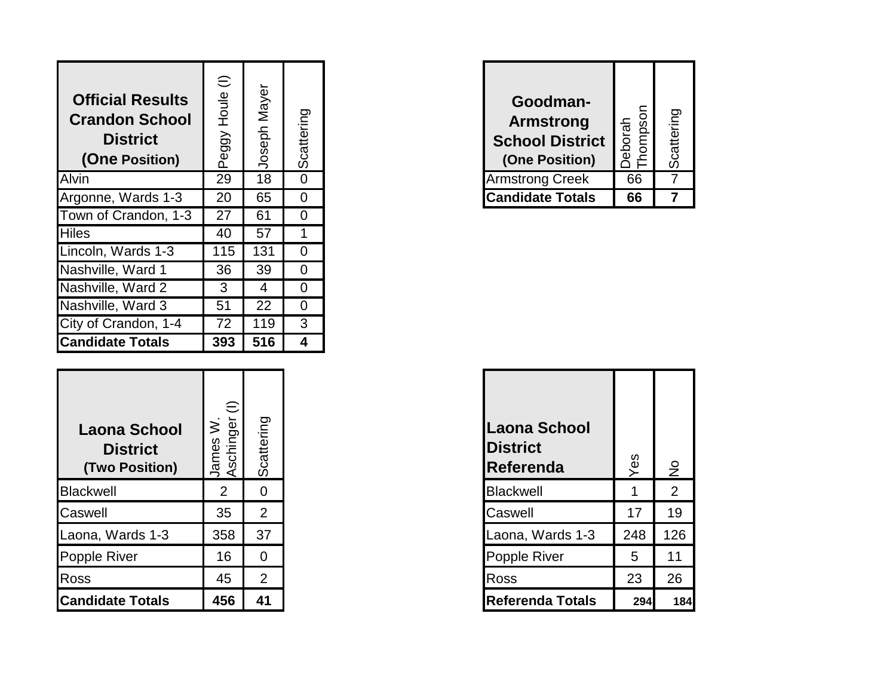| <b>Official Results</b><br><b>Crandon School</b><br>(One Position) | $\oplus$<br>Houle<br>Peggy | Mayer<br>Joseph | Scattering     | Goodman-<br><b>Armstrong</b><br><b>School District</b><br>(One Position) | Deborah<br>Thompson |  |
|--------------------------------------------------------------------|----------------------------|-----------------|----------------|--------------------------------------------------------------------------|---------------------|--|
|                                                                    | 29                         | 18              | $\overline{0}$ | <b>Armstrong Creek</b>                                                   | 66                  |  |
| Argonne, Wards 1-3                                                 | 20                         | 65              | $\overline{0}$ | <b>Candidate Totals</b>                                                  | 66                  |  |
| Town of Crandon, 1-3                                               | 27                         | 61              | $\overline{0}$ |                                                                          |                     |  |
|                                                                    | 40                         | 57              |                |                                                                          |                     |  |
| Lincoln, Wards 1-3                                                 | 115                        | 131             | $\Omega$       |                                                                          |                     |  |
| Nashville, Ward 1                                                  | 36                         | 39              | $\overline{0}$ |                                                                          |                     |  |
| Nashville, Ward 2                                                  | 3                          | 4               | 0              |                                                                          |                     |  |
| Nashville, Ward 3                                                  | 51                         | 22              | $\overline{0}$ |                                                                          |                     |  |
| City of Crandon, 1-4                                               | 72                         | 119             | 3              |                                                                          |                     |  |
| <b>Candidate Totals</b>                                            | 393                        | 516             | 4              |                                                                          |                     |  |

| Laona School<br><b>District</b><br>(Two Position) | $\in$<br>Aschinger<br>$\overline{\geq}$<br>James | Scattering     | <b>Laona School</b><br><b>District</b><br>Referenda | Yes | $\frac{1}{2}$  |
|---------------------------------------------------|--------------------------------------------------|----------------|-----------------------------------------------------|-----|----------------|
|                                                   | $\overline{2}$                                   | $\overline{0}$ | <b>Blackwell</b>                                    |     | $\overline{2}$ |
|                                                   | 35                                               | $\overline{2}$ | Caswell                                             | 17  | 19             |
| Laona, Wards 1-3                                  | 358                                              | 37             | Laona, Wards 1-3                                    | 248 | 126            |
|                                                   | 16                                               | $\overline{0}$ | Popple River                                        | 5   | 11             |
|                                                   | 45                                               | $\overline{2}$ | <b>Ross</b>                                         | 23  | 26             |
| <b>Candidate Totals</b>                           | 456                                              | 41             | <b>Referenda Totals</b>                             | 294 | 184            |

| Goodman-<br><b>Armstrong</b><br><b>School District</b><br>(One Position) | hompson<br>eborah | Scattering |
|--------------------------------------------------------------------------|-------------------|------------|
| <b>Armstrong Creek</b>                                                   | 66                |            |
| <b>Candidate Totals</b>                                                  | 66                |            |

| Laona School<br><b>District</b><br>Referenda | Yes | $\frac{1}{2}$  |
|----------------------------------------------|-----|----------------|
| <b>Blackwell</b>                             |     | $\overline{2}$ |
| Caswell                                      | 17  | 19             |
| Laona, Wards 1-3                             | 248 | 126            |
| Popple River                                 | 5   | 11             |
| Ross                                         | 23  | 26             |
| <b>Referenda Totals</b>                      | 294 | 184            |